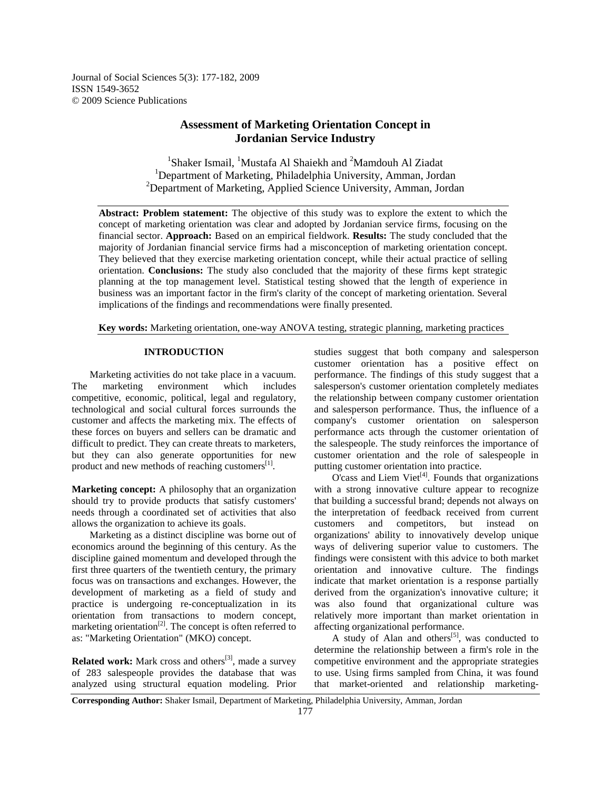Journal of Social Sciences 5(3): 177-182, 2009 ISSN 1549-3652 © 2009 Science Publications

# **Assessment of Marketing Orientation Concept in Jordanian Service Industry**

<sup>1</sup>Shaker Ismail, <sup>1</sup>Mustafa Al Shaiekh and <sup>2</sup>Mamdouh Al Ziadat <sup>1</sup>Department of Marketing, Philadelphia University, Amman, Jordan  $2$ Department of Marketing, Applied Science University, Amman, Jordan

**Abstract: Problem statement:** The objective of this study was to explore the extent to which the concept of marketing orientation was clear and adopted by Jordanian service firms, focusing on the financial sector. **Approach:** Based on an empirical fieldwork. **Results:** The study concluded that the majority of Jordanian financial service firms had a misconception of marketing orientation concept. They believed that they exercise marketing orientation concept, while their actual practice of selling orientation. **Conclusions:** The study also concluded that the majority of these firms kept strategic planning at the top management level. Statistical testing showed that the length of experience in business was an important factor in the firm's clarity of the concept of marketing orientation. Several implications of the findings and recommendations were finally presented.

**Key words:** Marketing orientation, one-way ANOVA testing, strategic planning, marketing practices

## **INTRODUCTION**

 Marketing activities do not take place in a vacuum. The marketing environment which includes competitive, economic, political, legal and regulatory, technological and social cultural forces surrounds the customer and affects the marketing mix. The effects of these forces on buyers and sellers can be dramatic and difficult to predict. They can create threats to marketers, but they can also generate opportunities for new product and new methods of reaching customers<sup>[1]</sup>.

**Marketing concept:** A philosophy that an organization should try to provide products that satisfy customers' needs through a coordinated set of activities that also allows the organization to achieve its goals.

 Marketing as a distinct discipline was borne out of economics around the beginning of this century. As the discipline gained momentum and developed through the first three quarters of the twentieth century, the primary focus was on transactions and exchanges. However, the development of marketing as a field of study and practice is undergoing re-conceptualization in its orientation from transactions to modern concept, marketing orientation<sup>[2]</sup>. The concept is often referred to as: "Marketing Orientation" (MKO) concept.

**Related work:** Mark cross and others<sup>[3]</sup>, made a survey of 283 salespeople provides the database that was analyzed using structural equation modeling. Prior

studies suggest that both company and salesperson customer orientation has a positive effect on performance. The findings of this study suggest that a salesperson's customer orientation completely mediates the relationship between company customer orientation and salesperson performance. Thus, the influence of a company's customer orientation on salesperson performance acts through the customer orientation of the salespeople. The study reinforces the importance of customer orientation and the role of salespeople in putting customer orientation into practice.

 $O$ 'cass and Liem Viet<sup>[4]</sup>. Founds that organizations with a strong innovative culture appear to recognize that building a successful brand; depends not always on the interpretation of feedback received from current customers and competitors, but instead on organizations' ability to innovatively develop unique ways of delivering superior value to customers. The findings were consistent with this advice to both market orientation and innovative culture. The findings indicate that market orientation is a response partially derived from the organization's innovative culture; it was also found that organizational culture was relatively more important than market orientation in affecting organizational performance.

A study of Alan and others<sup>[5]</sup>, was conducted to determine the relationship between a firm's role in the competitive environment and the appropriate strategies to use. Using firms sampled from China, it was found that market-oriented and relationship marketing-

**Corresponding Author:** Shaker Ismail, Department of Marketing, Philadelphia University, Amman, Jordan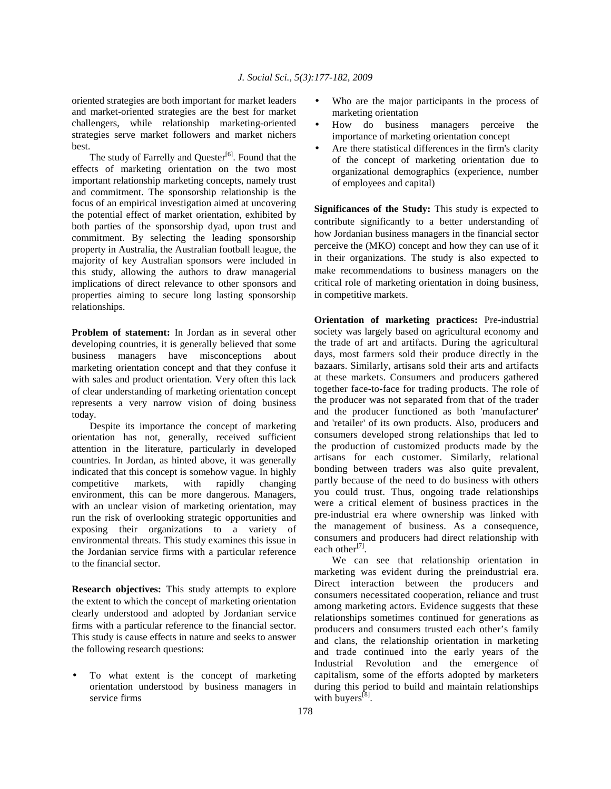oriented strategies are both important for market leaders and market-oriented strategies are the best for market challengers, while relationship marketing-oriented strategies serve market followers and market nichers best.

The study of Farrelly and Quester<sup>[6]</sup>. Found that the effects of marketing orientation on the two most important relationship marketing concepts, namely trust and commitment. The sponsorship relationship is the focus of an empirical investigation aimed at uncovering the potential effect of market orientation, exhibited by both parties of the sponsorship dyad, upon trust and commitment. By selecting the leading sponsorship property in Australia, the Australian football league, the majority of key Australian sponsors were included in this study, allowing the authors to draw managerial implications of direct relevance to other sponsors and properties aiming to secure long lasting sponsorship relationships.

**Problem of statement:** In Jordan as in several other developing countries, it is generally believed that some business managers have misconceptions about marketing orientation concept and that they confuse it with sales and product orientation. Very often this lack of clear understanding of marketing orientation concept represents a very narrow vision of doing business today.

 Despite its importance the concept of marketing orientation has not, generally, received sufficient attention in the literature, particularly in developed countries. In Jordan, as hinted above, it was generally indicated that this concept is somehow vague. In highly competitive markets, with rapidly changing environment, this can be more dangerous. Managers, with an unclear vision of marketing orientation, may run the risk of overlooking strategic opportunities and exposing their organizations to a variety of environmental threats. This study examines this issue in the Jordanian service firms with a particular reference to the financial sector.

**Research objectives:** This study attempts to explore the extent to which the concept of marketing orientation clearly understood and adopted by Jordanian service firms with a particular reference to the financial sector. This study is cause effects in nature and seeks to answer the following research questions:

• To what extent is the concept of marketing orientation understood by business managers in service firms

- Who are the major participants in the process of marketing orientation
- How do business managers perceive the importance of marketing orientation concept
- Are there statistical differences in the firm's clarity of the concept of marketing orientation due to organizational demographics (experience, number of employees and capital)

**Significances of the Study:** This study is expected to contribute significantly to a better understanding of how Jordanian business managers in the financial sector perceive the (MKO) concept and how they can use of it in their organizations. The study is also expected to make recommendations to business managers on the critical role of marketing orientation in doing business, in competitive markets.

**Orientation of marketing practices:** Pre-industrial society was largely based on agricultural economy and the trade of art and artifacts. During the agricultural days, most farmers sold their produce directly in the bazaars. Similarly, artisans sold their arts and artifacts at these markets. Consumers and producers gathered together face-to-face for trading products. The role of the producer was not separated from that of the trader and the producer functioned as both 'manufacturer' and 'retailer' of its own products. Also, producers and consumers developed strong relationships that led to the production of customized products made by the artisans for each customer. Similarly, relational bonding between traders was also quite prevalent, partly because of the need to do business with others you could trust. Thus, ongoing trade relationships were a critical element of business practices in the pre-industrial era where ownership was linked with the management of business. As a consequence, consumers and producers had direct relationship with each other<sup>[7]</sup>.

 We can see that relationship orientation in marketing was evident during the preindustrial era. Direct interaction between the producers and consumers necessitated cooperation, reliance and trust among marketing actors. Evidence suggests that these relationships sometimes continued for generations as producers and consumers trusted each other's family and clans, the relationship orientation in marketing and trade continued into the early years of the Industrial Revolution and the emergence of capitalism, some of the efforts adopted by marketers during this period to build and maintain relationships with buyers $^{[8]}$ .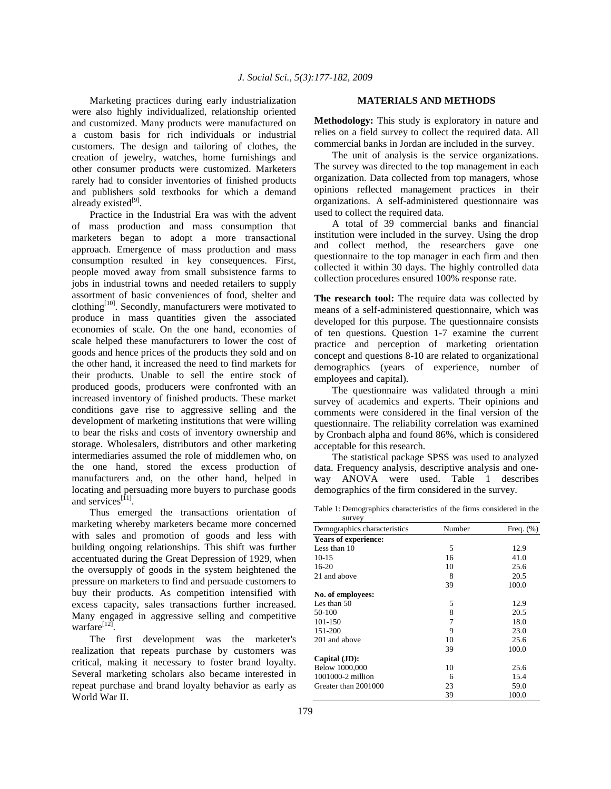Marketing practices during early industrialization were also highly individualized, relationship oriented and customized. Many products were manufactured on a custom basis for rich individuals or industrial customers. The design and tailoring of clothes, the creation of jewelry, watches, home furnishings and other consumer products were customized. Marketers rarely had to consider inventories of finished products and publishers sold textbooks for which a demand already existed<sup>[9]</sup>.

 Practice in the Industrial Era was with the advent of mass production and mass consumption that marketers began to adopt a more transactional approach. Emergence of mass production and mass consumption resulted in key consequences. First, people moved away from small subsistence farms to jobs in industrial towns and needed retailers to supply assortment of basic conveniences of food, shelter and clothing<sup>[10]</sup>. Secondly, manufacturers were motivated to produce in mass quantities given the associated economies of scale. On the one hand, economies of scale helped these manufacturers to lower the cost of goods and hence prices of the products they sold and on the other hand, it increased the need to find markets for their products. Unable to sell the entire stock of produced goods, producers were confronted with an increased inventory of finished products. These market conditions gave rise to aggressive selling and the development of marketing institutions that were willing to bear the risks and costs of inventory ownership and storage. Wholesalers, distributors and other marketing intermediaries assumed the role of middlemen who, on the one hand, stored the excess production of manufacturers and, on the other hand, helped in locating and persuading more buyers to purchase goods and services<sup>[11]</sup>.

 Thus emerged the transactions orientation of marketing whereby marketers became more concerned with sales and promotion of goods and less with building ongoing relationships. This shift was further accentuated during the Great Depression of 1929, when the oversupply of goods in the system heightened the pressure on marketers to find and persuade customers to buy their products. As competition intensified with excess capacity, sales transactions further increased. Many engaged in aggressive selling and competitive warfare $^{[12]}$ .

 The first development was the marketer's realization that repeats purchase by customers was critical, making it necessary to foster brand loyalty. Several marketing scholars also became interested in repeat purchase and brand loyalty behavior as early as World War II.

#### **MATERIALS AND METHODS**

**Methodology:** This study is exploratory in nature and relies on a field survey to collect the required data. All commercial banks in Jordan are included in the survey.

 The unit of analysis is the service organizations. The survey was directed to the top management in each organization. Data collected from top managers, whose opinions reflected management practices in their organizations. A self-administered questionnaire was used to collect the required data.

 A total of 39 commercial banks and financial institution were included in the survey. Using the drop and collect method, the researchers gave one questionnaire to the top manager in each firm and then collected it within 30 days. The highly controlled data collection procedures ensured 100% response rate.

**The research tool:** The require data was collected by means of a self-administered questionnaire, which was developed for this purpose. The questionnaire consists of ten questions. Question 1-7 examine the current practice and perception of marketing orientation concept and questions 8-10 are related to organizational demographics (years of experience, number of employees and capital).

 The questionnaire was validated through a mini survey of academics and experts. Their opinions and comments were considered in the final version of the questionnaire. The reliability correlation was examined by Cronbach alpha and found 86%, which is considered acceptable for this research.

 The statistical package SPSS was used to analyzed data. Frequency analysis, descriptive analysis and one-ANOVA were used. Table 1 describes demographics of the firm considered in the survey.

Table 1: Demographics characteristics of the firms considered in the survey

| survey                       |        |              |
|------------------------------|--------|--------------|
| Demographics characteristics | Number | Freq. $(\%)$ |
| <b>Years of experience:</b>  |        |              |
| Less than 10                 | 5      | 12.9         |
| $10-15$                      | 16     | 41.0         |
| $16-20$                      | 10     | 25.6         |
| 21 and above                 | 8      | 20.5         |
|                              | 39     | 100.0        |
| No. of employees:            |        |              |
| Les than 50                  | 5      | 12.9         |
| 50-100                       | 8      | 20.5         |
| 101-150                      | 7      | 18.0         |
| 151-200                      | 9      | 23.0         |
| 201 and above                | 10     | 25.6         |
|                              | 39     | 100.0        |
| Capital (JD):                |        |              |
| Below 1000,000               | 10     | 25.6         |
| 1001000-2 million            | 6      | 15.4         |
| Greater than 2001000         | 23     | 59.0         |
|                              | 39     | 100.0        |
|                              |        |              |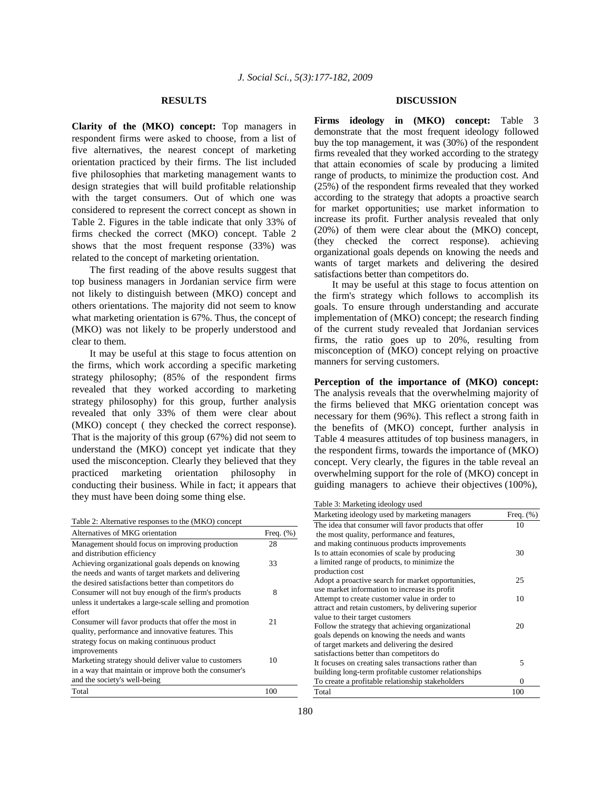### **RESULTS**

**Clarity of the (MKO) concept:** Top managers in respondent firms were asked to choose, from a list of five alternatives, the nearest concept of marketing orientation practiced by their firms. The list included five philosophies that marketing management wants to design strategies that will build profitable relationship with the target consumers. Out of which one was considered to represent the correct concept as shown in Table 2. Figures in the table indicate that only 33% of firms checked the correct (MKO) concept. Table 2 shows that the most frequent response (33%) was related to the concept of marketing orientation.

 The first reading of the above results suggest that top business managers in Jordanian service firm were not likely to distinguish between (MKO) concept and others orientations. The majority did not seem to know what marketing orientation is 67%. Thus, the concept of (MKO) was not likely to be properly understood and clear to them.

 It may be useful at this stage to focus attention on the firms, which work according a specific marketing strategy philosophy; (85% of the respondent firms revealed that they worked according to marketing strategy philosophy) for this group, further analysis revealed that only 33% of them were clear about (MKO) concept ( they checked the correct response). That is the majority of this group (67%) did not seem to understand the (MKO) concept yet indicate that they used the misconception. Clearly they believed that they practiced marketing orientation philosophy in conducting their business. While in fact; it appears that they must have been doing some thing else.

Table 2: Alternative responses to the (MKO) concept

| Alternatives of MKG orientation                          | Freq. $(\%)$ |
|----------------------------------------------------------|--------------|
| Management should focus on improving production          | 28           |
| and distribution efficiency                              |              |
| Achieving organizational goals depends on knowing        | 33           |
| the needs and wants of target markets and delivering     |              |
| the desired satisfactions better than competitors do     |              |
| Consumer will not buy enough of the firm's products      | 8            |
| unless it undertakes a large-scale selling and promotion |              |
| effort                                                   |              |
| Consumer will favor products that offer the most in      | 21           |
| quality, performance and innovative features. This       |              |
| strategy focus on making continuous product              |              |
| improvements                                             |              |
| Marketing strategy should deliver value to customers     | 10           |
| in a way that maintain or improve both the consumer's    |              |
| and the society's well-being                             |              |
| Total                                                    | 100          |

### **DISCUSSION**

**Firms ideology in (MKO) concept:** Table 3 demonstrate that the most frequent ideology followed buy the top management, it was (30%) of the respondent firms revealed that they worked according to the strategy that attain economies of scale by producing a limited range of products, to minimize the production cost. And (25%) of the respondent firms revealed that they worked according to the strategy that adopts a proactive search for market opportunities; use market information to increase its profit. Further analysis revealed that only (20%) of them were clear about the (MKO) concept, (they checked the correct response). achieving organizational goals depends on knowing the needs and wants of target markets and delivering the desired satisfactions better than competitors do.

 It may be useful at this stage to focus attention on the firm's strategy which follows to accomplish its goals. To ensure through understanding and accurate implementation of (MKO) concept; the research finding of the current study revealed that Jordanian services firms, the ratio goes up to 20%, resulting from misconception of (MKO) concept relying on proactive manners for serving customers.

**Perception of the importance of (MKO) concept:** The analysis reveals that the overwhelming majority of the firms believed that MKG orientation concept was necessary for them (96%). This reflect a strong faith in the benefits of (MKO) concept, further analysis in Table 4 measures attitudes of top business managers, in the respondent firms, towards the importance of (MKO) concept. Very clearly, the figures in the table reveal an overwhelming support for the role of (MKO) concept in guiding managers to achieve their objectives (100%),

Table 3: Marketing ideology used

| raone <i>s</i> . <i>marriem</i> , <i>racoro</i> , <i>r</i> asca |              |
|-----------------------------------------------------------------|--------------|
| Marketing ideology used by marketing managers                   | Freq. $(\%)$ |
| The idea that consumer will favor products that offer           | 10           |
| the most quality, performance and features,                     |              |
| and making continuous products improvements                     |              |
| Is to attain economies of scale by producing                    | 30           |
| a limited range of products, to minimize the                    |              |
| production cost                                                 |              |
| Adopt a proactive search for market opportunities,              | 25           |
| use market information to increase its profit                   |              |
| Attempt to create customer value in order to                    | 10           |
| attract and retain customers, by delivering superior            |              |
| value to their target customers                                 |              |
| Follow the strategy that achieving organizational               | 20           |
| goals depends on knowing the needs and wants                    |              |
| of target markets and delivering the desired                    |              |
| satisfactions better than competitors do                        |              |
| It focuses on creating sales transactions rather than           | 5            |
| building long-term profitable customer relationships            |              |
| To create a profitable relationship stakeholders                | 0            |
| Total                                                           | 100          |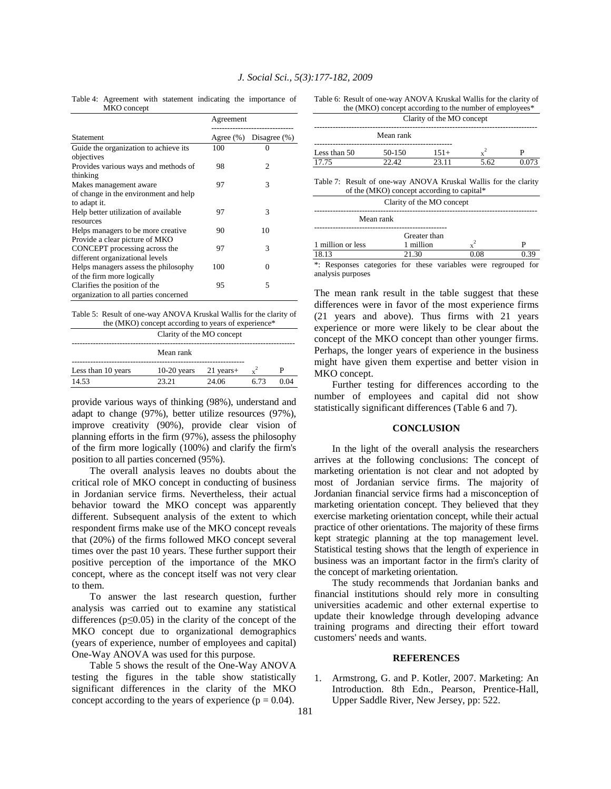Table 4: Agreement with statement indicating the importance of MKO concept

|                                                                                 | Agreement |                        |
|---------------------------------------------------------------------------------|-----------|------------------------|
| Statement                                                                       |           | Agree (%) Disagree (%) |
| Guide the organization to achieve its<br>objectives                             | 100       | 0                      |
| Provides various ways and methods of<br>thinking                                | 98        | 2                      |
| Makes management aware<br>of change in the environment and help<br>to adapt it. | 97        | 3                      |
| Help better utilization of available<br>resources                               | 97        | 3                      |
| Helps managers to be more creative.<br>Provide a clear picture of MKO           | 90        | 10                     |
| CONCEPT processing across the<br>different organizational levels                | 97        | 3                      |
| Helps managers assess the philosophy<br>of the firm more logically              | 100       | $\Omega$               |
| Clarifies the position of the<br>organization to all parties concerned          | 95        | 5                      |

Table 5: Result of one-way ANOVA Kruskal Wallis for the clarity of the (MKO) concept according to years of experience\*

|                    | Clarity of the MO concept |             |      |      |
|--------------------|---------------------------|-------------|------|------|
|                    | Mean rank                 |             |      |      |
| Less than 10 years | $10-20$ years             | $21$ years+ |      |      |
| 14.53              | 23.21                     | 24.06       | 6.73 | 0.04 |
|                    |                           |             |      |      |

provide various ways of thinking (98%), understand and adapt to change (97%), better utilize resources (97%), improve creativity (90%), provide clear vision of planning efforts in the firm (97%), assess the philosophy of the firm more logically (100%) and clarify the firm's position to all parties concerned (95%).

 The overall analysis leaves no doubts about the critical role of MKO concept in conducting of business in Jordanian service firms. Nevertheless, their actual behavior toward the MKO concept was apparently different. Subsequent analysis of the extent to which respondent firms make use of the MKO concept reveals that (20%) of the firms followed MKO concept several times over the past 10 years. These further support their positive perception of the importance of the MKO concept, where as the concept itself was not very clear to them.

 To answer the last research question, further analysis was carried out to examine any statistical differences ( $p \leq 0.05$ ) in the clarity of the concept of the MKO concept due to organizational demographics (years of experience, number of employees and capital) One-Way ANOVA was used for this purpose.

 Table 5 shows the result of the One-Way ANOVA testing the figures in the table show statistically significant differences in the clarity of the MKO concept according to the years of experience ( $p = 0.04$ ).

| Table 6: Result of one-way ANOVA Kruskal Wallis for the clarity of |
|--------------------------------------------------------------------|
| the (MKO) concept according to the number of employees*            |

|                           | the ( <b>WIXO</b> ) concept according to the humber of employees |        |      |       |
|---------------------------|------------------------------------------------------------------|--------|------|-------|
| Clarity of the MO concept |                                                                  |        |      |       |
|                           | Mean rank                                                        |        |      |       |
| Less than 50              | 50-150                                                           | $151+$ |      |       |
| 17.75                     | 22 42                                                            | 23.11  | 5.62 | 0.073 |

Table 7: Result of one-way ANOVA Kruskal Wallis for the clarity of the (MKO) concept according to capital\*

| Clarity of the MO concept |                           |      |  |  |
|---------------------------|---------------------------|------|--|--|
| Mean rank                 |                           |      |  |  |
| 1 million or less         | Greater than<br>1 million |      |  |  |
| 18.13                     | 21.30                     | 0.08 |  |  |
|                           |                           |      |  |  |

\*: Responses categories for these variables were regrouped for analysis purposes

The mean rank result in the table suggest that these differences were in favor of the most experience firms (21 years and above). Thus firms with 21 years experience or more were likely to be clear about the concept of the MKO concept than other younger firms. Perhaps, the longer years of experience in the business might have given them expertise and better vision in MKO concept.

 Further testing for differences according to the number of employees and capital did not show statistically significant differences (Table 6 and 7).

### **CONCLUSION**

 In the light of the overall analysis the researchers arrives at the following conclusions: The concept of marketing orientation is not clear and not adopted by most of Jordanian service firms. The majority of Jordanian financial service firms had a misconception of marketing orientation concept. They believed that they exercise marketing orientation concept, while their actual practice of other orientations. The majority of these firms kept strategic planning at the top management level. Statistical testing shows that the length of experience in business was an important factor in the firm's clarity of the concept of marketing orientation.

 The study recommends that Jordanian banks and financial institutions should rely more in consulting universities academic and other external expertise to update their knowledge through developing advance training programs and directing their effort toward customers' needs and wants.

#### **REFERENCES**

1. Armstrong, G. and P. Kotler, 2007. Marketing: An Introduction. 8th Edn., Pearson, Prentice-Hall, Upper Saddle River, New Jersey, pp: 522.